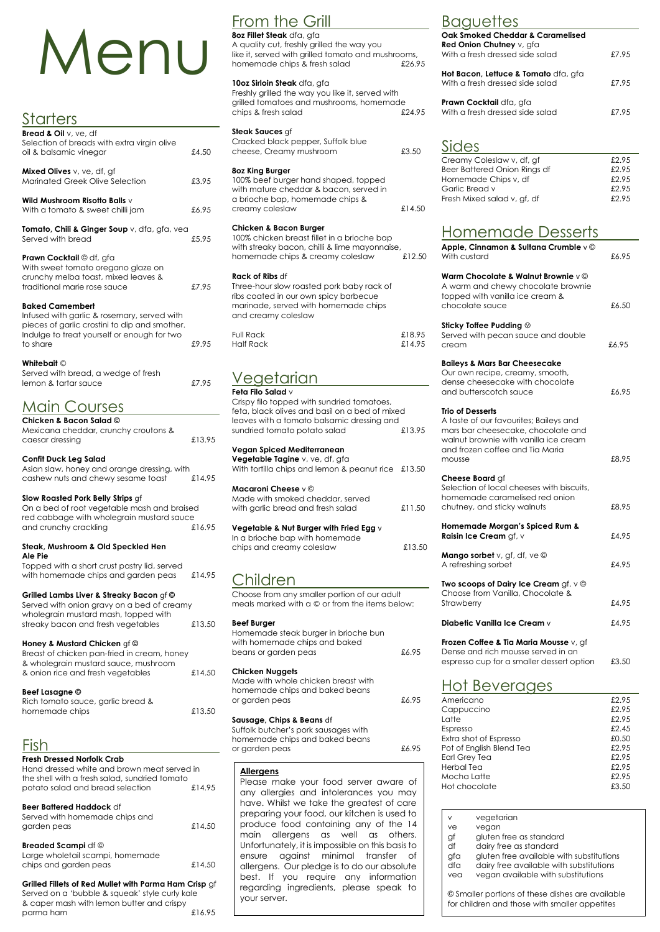# Menu

## **Starters**

| <b>Bread &amp; Oil</b> $v$ , $ve$ , df<br>Selection of breads with extra virgin olive<br>oil & balsamic vinegar                                                                   | £4.50 |
|-----------------------------------------------------------------------------------------------------------------------------------------------------------------------------------|-------|
| Mixed Olives v, ve, df, gf<br><b>Marinated Greek Olive Selection</b>                                                                                                              | £3.95 |
| Wild Mushroom Risotto Balls $\vee$<br>With a tomato & sweet chilli jam                                                                                                            | £6.95 |
| Tomato, Chili & Ginger Soup v, dfa, gfa, vea<br>Served with bread                                                                                                                 | £5.95 |
| <b>Prawn Cocktail © df, gfa</b><br>With sweet tomato oregano glaze on<br>crunchy melba toast, mixed leaves &<br>traditional marie rose sauce                                      | £7.95 |
| <b>Baked Camembert</b><br>Infused with garlic & rosemary, served with<br>pieces of garlic crostini to dip and smother.<br>Indulge to treat yourself or enough for two<br>to share | £9.95 |
| Whitebait ©<br>Served with bread, a wedge of fresh<br>lemon & tartar sauce                                                                                                        | £7.95 |
| $M \cap \{C\}$<br>$\bigcap$ irr $\bigcap$                                                                                                                                         |       |

#### <u>MUIN COU</u>RS **Chicken & Bacon Salad ©**

Topped with a short crust pastry lid, served with homemade chips and garden peas £14.95

| CHICKEN & DUCON SUIGU $\otimes$      |        |
|--------------------------------------|--------|
| Mexicana cheddar, crunchy croutons & |        |
| caesar dressing                      | £13.95 |

## **Confit Duck Leg Salad**

| Asian slaw, honey and orange dressing, with |        |
|---------------------------------------------|--------|
| cashew nuts and chewy sesame toast          | £14.95 |

Served with homemade chips and garden peas  $\text{£}14.50$ 

Large wholetail scampi, homemade chips and garden peas  $\text{£}14.50$ 

## **Slow Roasted Pork Belly Strips** gf

| On a bed of root vegetable mash and braised |        |
|---------------------------------------------|--------|
| red cabbage with wholegrain mustard sauce   |        |
| and crunchy crackling                       | £16.95 |

like it, served with grilled tomato and mushrooms, homemade chips & fresh salad  $£26.95$ 

#### **Steak, Mushroom & Old Speckled Hen Ale Pie**

Freshly grilled the way you like it, served with grilled tomatoes and mushrooms, homemade chips & fresh salad  $\text{\$24.95}$ 

Cracked black pepper, Suffolk blue cheese, Creamy mushroom  $£3.50$ 

## **Grilled Lambs Liver & Streaky Bacon** gf **©**

| Served with onion gravy on a bed of creamy |        |
|--------------------------------------------|--------|
| wholegrain mustard mash, topped with       |        |
| streaky bacon and fresh vegetables         | £13.50 |
|                                            |        |

# **Honey & Mustard Chicken** gf **©**

| $\frac{1}{2}$                               |        |
|---------------------------------------------|--------|
| Breast of chicken pan-fried in cream, honey |        |
| & wholegrain mustard sauce, mushroom        |        |
| & onion rice and fresh vegetables           | £14.50 |
|                                             |        |

Crispy filo topped with sundried tomatoes, feta, black olives and basil on a bed of mixed leaves with a tomato balsamic dressing and sundried tomato potato salad  $£13.95$ **Vegan Spiced Mediterranean Vegetable Tagine** v, ve, df, gfa With tortilla chips and lemon & peanut rice £13.50 **Macaroni Cheese** v © Made with smoked cheddar, served with garlic bread and fresh salad  $£11.50$ 

## **Beef Lasagne ©**

Rich tomato sauce, garlic bread &

## Fish

#### **Fresh Dressed Norfolk Crab**

Hand dressed white and brown meat served in the shell with a fresh salad, sundried tomato potato salad and bread selection £14.95

#### **Beer Battered Haddock** df

#### **Breaded Scampi** df ©

Made with whole chicken breast with homemade chips and baked beans or garden peas  $£6.95$ 

# **Baguettes**

#### **Grilled Fillets of Red Mullet with Parma Ham Crisp** gf

Served on a 'bubble & squeak' style curly kale & caper mash with lemon butter and crispy parma ham £16.95

# From the Grill

**8oz Fillet Steak** dfa, gfa A quality cut, freshly grilled the way you

## **10oz Sirloin Steak** dfa, gfa

## **Steak Sauces** gf

## **8oz King Burger**

100% beef burger hand shaped, topped with mature cheddar & bacon, served in a brioche bap, homemade chips & creamy coleslaw £14.50

## **Chicken & Bacon Burger**

100% chicken breast fillet in a brioche bap with streaky bacon, chilli & lime mayonnaise, homemade chips & creamy coleslaw £12.50

## **Rack of Ribs** df

Three-hour slow roasted pork baby rack of ribs coated in our own spicy barbecue marinade, served with homemade chips and creamy coleslaw

| Full Rack | £18.95 |
|-----------|--------|
| Half Rack | £14.95 |

# Vegetarian

#### **Feta Filo Salad** v

## **Vegetable & Nut Burger with Fried Egg** v

In a brioche bap with homemade chips and creamy coleslaw £13.50

# Children

Choose from any smaller portion of our adult meals marked with a © or from the items below:

### **Beef Burger**

| Homemade steak burger in brioche bun |       |
|--------------------------------------|-------|
| with homemade chips and baked        |       |
| beans or garden peas                 | £6.95 |

#### **Chicken Nuggets**

#### **Sausage, Chips & Beans** df

Suffolk butcher's pork sausages with homemade chips and baked beans or garden peas £6.95

| Oak Smoked Cheddar & Caramelised<br>Red Onion Chutney v, gfa<br>With a fresh dressed side salad | £7.95 |
|-------------------------------------------------------------------------------------------------|-------|
| <b>Hot Bacon, Lettuce &amp; Tomato</b> dfa, gfa<br>With a fresh dressed side salad              | £7.95 |
| Prawn Cocktail dfa, gfa<br>With a fresh dressed side salad                                      | £7.95 |

# Sides

| Creamy Coleslaw v, df, gf    | £2.95 |
|------------------------------|-------|
| Beer Battered Onion Rings df | £2.95 |
| Homemade Chips v, df         | £2.95 |
| Garlic Bread v               | £2.95 |
| Fresh Mixed salad v, gf, df  | £2.95 |
|                              |       |

# Homemade Desserts

| Apple, Cinnamon & Sultana Crumble v ©<br>With custard                                                                                                                                         | £6.95 |
|-----------------------------------------------------------------------------------------------------------------------------------------------------------------------------------------------|-------|
| Warm Chocolate & Walnut Brownie $v \circledcirc$<br>A warm and chewy chocolate brownie<br>topped with vanilla ice cream &<br>chocolate sauce                                                  | £6.50 |
| Sticky Toffee Pudding $\circledcirc$<br>Served with pecan sauce and double<br>cream                                                                                                           | £6.95 |
| <b>Baileys &amp; Mars Bar Cheesecake</b><br>Our own recipe, creamy, smooth,<br>dense cheesecake with chocolate<br>and butterscotch sauce                                                      | £6.95 |
| <b>Trio of Desserts</b><br>A taste of our favourites; Baileys and<br>mars bar cheesecake, chocolate and<br>walnut brownie with vanilla ice cream<br>and frozen coffee and Tia Maria<br>mousse | £8.95 |
| Cheese Board gf<br>Selection of local cheeses with biscuits,<br>homemade caramelised red onion<br>chutney, and sticky walnuts                                                                 | £8.95 |
| Homemade Morgan's Spiced Rum &<br>Raisin Ice Cream gf, v                                                                                                                                      | £4.95 |
| Mango sorbet v, gf, df, ve ©<br>A refreshing sorbet                                                                                                                                           | £4.95 |
| Two scoops of Dairy Ice Cream gf, v ©<br>Choose from Vanilla, Chocolate &<br>Strawberry                                                                                                       | £4.95 |
| Diabetic Vanilla Ice Cream v                                                                                                                                                                  | £4.95 |
| Frozen Coffee & Tia Maria Mousse v, gf<br>Dense and rich mousse served in an<br>espresso cup for a smaller dessert option                                                                     | £3.50 |
| <u>Hot Beverages</u><br>Americano                                                                                                                                                             | £2.95 |

### homemade chips  $£13.50$

| Cappuccino               | £2.95 |
|--------------------------|-------|
| Latte                    | £2.95 |
| Espresso                 | £2.45 |
| Extra shot of Espresso   | £0.50 |
| Pot of English Blend Tea | £2.95 |
| <b>Earl Grey Tea</b>     | £2.95 |
| Herbal Tea               | £2.95 |
| Mocha Latte              | £2.95 |
| Hot chocolate            | £3,50 |
|                          |       |

#### **Allergens**

Please make your food server aware of any allergies and intolerances you may have. Whilst we take the greatest of care preparing your food, our kitchen is used to produce food containing any of the 14 main allergens as well as others. Unfortunately, it is impossible on this basis to ensure against minimal transfer of allergens. Our pledge is to do our absolute best. If you require any information regarding ingredients, please speak to your server.

| ν   | vegetarian                               |
|-----|------------------------------------------|
|     | vegan                                    |
| gf  | gluten free as standard                  |
| df  | dairy free as standard                   |
| gfa | gluten free available with substitutions |
| dfa | dairy free available with substitutions  |
| vea | vegan available with substitutions       |
|     | $\cdots$                                 |
|     | ve                                       |

© Smaller portions of these dishes are available for children and those with smaller appetites